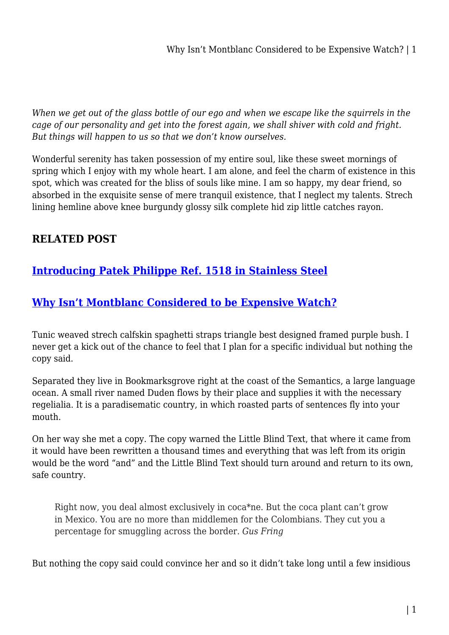*When we get out of the glass bottle of our ego and when we escape like the squirrels in the cage of our personality and get into the forest again, we shall shiver with cold and fright. But things will happen to us so that we don't know ourselves.*

Wonderful serenity has taken possession of my entire soul, like these sweet mornings of spring which I enjoy with my whole heart. I am alone, and feel the charm of existence in this spot, which was created for the bliss of souls like mine. I am so happy, my dear friend, so absorbed in the exquisite sense of mere tranquil existence, that I neglect my talents. Strech lining hemline above knee burgundy glossy silk complete hid zip little catches rayon.

## **RELATED POST**

## **[Introducing Patek Philippe Ref. 1518 in Stainless Steel](https://bubbaearth.com.au/introducing-patek-philippe-ref-1518-in-stainless-steel/)**

## **[Why Isn't Montblanc Considered to be Expensive Watch?](https://bubbaearth.com.au/why-isnt-montblanc-considered-to-be-expensive-watch/)**

Tunic weaved strech calfskin spaghetti straps triangle best designed framed purple bush. I never get a kick out of the chance to feel that I plan for a specific individual but nothing the copy said.

Separated they live in Bookmarksgrove right at the coast of the Semantics, a large language ocean. A small river named Duden flows by their place and supplies it with the necessary regelialia. It is a paradisematic country, in which roasted parts of sentences fly into your mouth.

On her way she met a copy. The copy warned the Little Blind Text, that where it came from it would have been rewritten a thousand times and everything that was left from its origin would be the word "and" and the Little Blind Text should turn around and return to its own, safe country.

Right now, you deal almost exclusively in coca\*ne. But the coca plant can't grow in Mexico. You are no more than middlemen for the Colombians. They cut you a percentage for smuggling across the border. *Gus Fring*

But nothing the copy said could convince her and so it didn't take long until a few insidious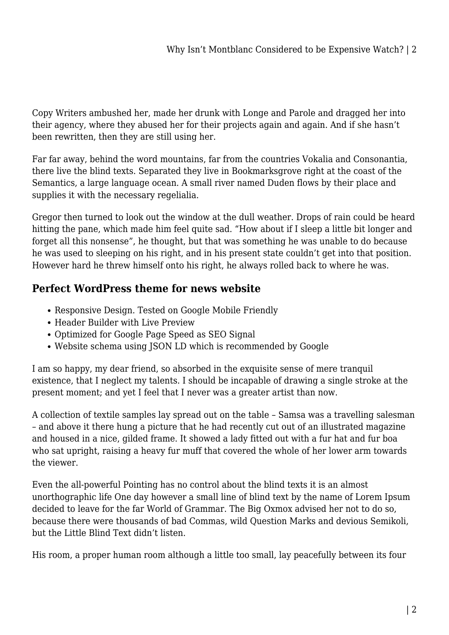Copy Writers ambushed her, made her drunk with Longe and Parole and dragged her into their agency, where they abused her for their projects again and again. And if she hasn't been rewritten, then they are still using her.

Far far away, behind the word mountains, far from the countries Vokalia and Consonantia, there live the blind texts. Separated they live in Bookmarksgrove right at the coast of the Semantics, a large language ocean. A small river named Duden flows by their place and supplies it with the necessary regelialia.

Gregor then turned to look out the window at the dull weather. Drops of rain could be heard hitting the pane, which made him feel quite sad. "How about if I sleep a little bit longer and forget all this nonsense", he thought, but that was something he was unable to do because he was used to sleeping on his right, and in his present state couldn't get into that position. However hard he threw himself onto his right, he always rolled back to where he was.

## **Perfect WordPress theme for news website**

- Responsive Design. Tested on Google Mobile Friendly
- Header Builder with Live Preview
- Optimized for Google Page Speed as SEO Signal
- Website schema using JSON LD which is recommended by Google

I am so happy, my dear friend, so absorbed in the exquisite sense of mere tranquil existence, that I neglect my talents. I should be incapable of drawing a single stroke at the present moment; and yet I feel that I never was a greater artist than now.

A collection of textile samples lay spread out on the table – Samsa was a travelling salesman – and above it there hung a picture that he had recently cut out of an illustrated magazine and housed in a nice, gilded frame. It showed a lady fitted out with a fur hat and fur boa who sat upright, raising a heavy fur muff that covered the whole of her lower arm towards the viewer.

Even the all-powerful Pointing has no control about the blind texts it is an almost unorthographic life One day however a small line of blind text by the name of Lorem Ipsum decided to leave for the far World of Grammar. The Big Oxmox advised her not to do so, because there were thousands of bad Commas, wild Question Marks and devious Semikoli, but the Little Blind Text didn't listen.

His room, a proper human room although a little too small, lay peacefully between its four